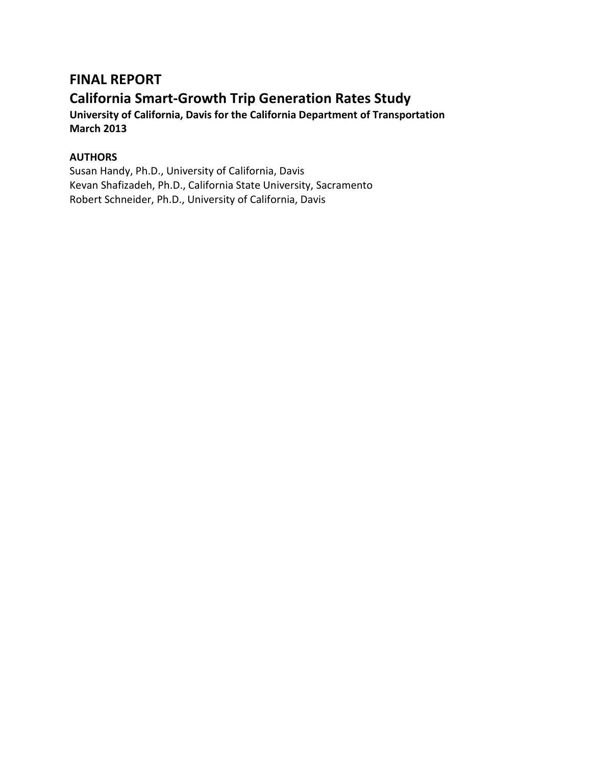# **FINAL REPORT**

# **California Smart-Growth Trip Generation Rates Study**

**University of California, Davis for the California Department of Transportation March 2013**

# **AUTHORS**

Susan Handy, Ph.D., University of California, Davis Kevan Shafizadeh, Ph.D., California State University, Sacramento Robert Schneider, Ph.D., University of California, Davis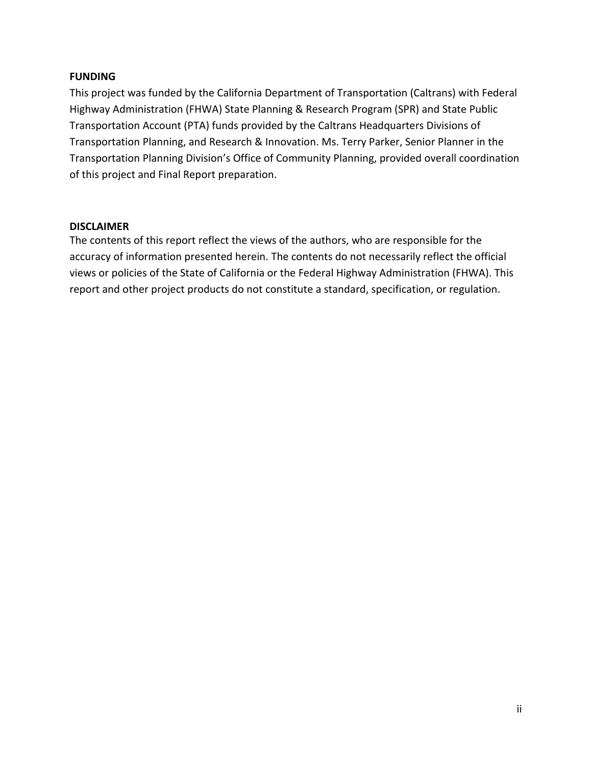#### **FUNDING**

This project was funded by the California Department of Transportation (Caltrans) with Federal Highway Administration (FHWA) State Planning & Research Program (SPR) and State Public Transportation Account (PTA) funds provided by the Caltrans Headquarters Divisions of Transportation Planning, and Research & Innovation. Ms. Terry Parker, Senior Planner in the Transportation Planning Division's Office of Community Planning, provided overall coordination of this project and Final Report preparation.

#### **DISCLAIMER**

The contents of this report reflect the views of the authors, who are responsible for the accuracy of information presented herein. The contents do not necessarily reflect the official views or policies of the State of California or the Federal Highway Administration (FHWA). This report and other project products do not constitute a standard, specification, or regulation.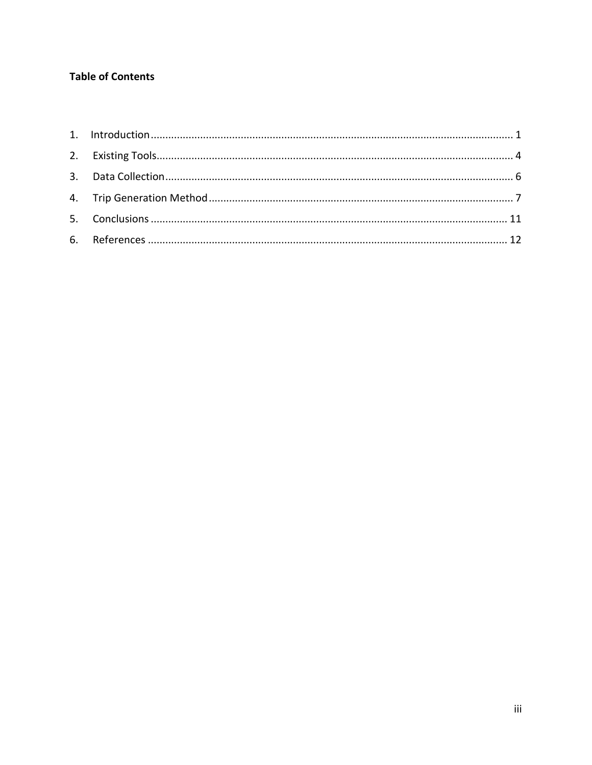# **Table of Contents**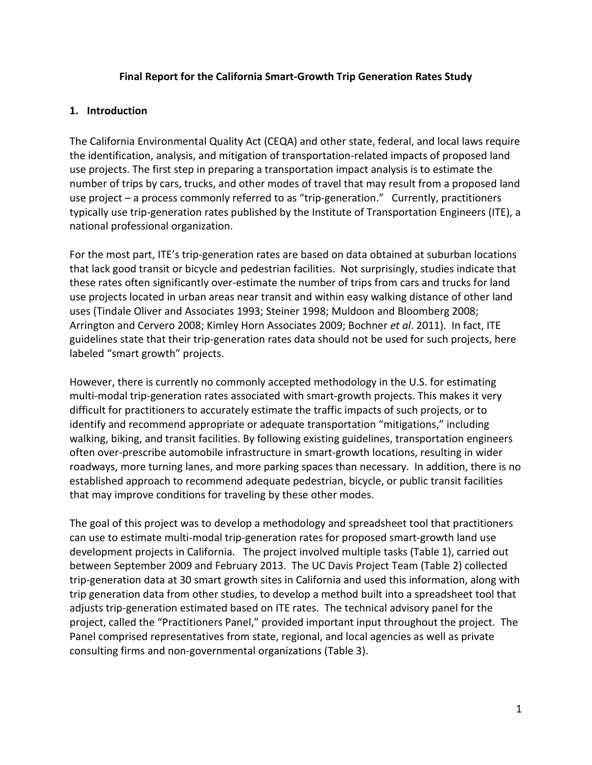#### **Final Report for the California Smart-Growth Trip Generation Rates Study**

#### <span id="page-3-0"></span>**1. Introduction**

The California Environmental Quality Act (CEQA) and other state, federal, and local laws require the identification, analysis, and mitigation of transportation-related impacts of proposed land use projects. The first step in preparing a transportation impact analysis is to estimate the number of trips by cars, trucks, and other modes of travel that may result from a proposed land use project – a process commonly referred to as "trip-generation." Currently, practitioners typically use trip-generation rates published by the Institute of Transportation Engineers (ITE), a national professional organization.

For the most part, ITE's trip-generation rates are based on data obtained at suburban locations that lack good transit or bicycle and pedestrian facilities. Not surprisingly, studies indicate that these rates often significantly over-estimate the number of trips from cars and trucks for land use projects located in urban areas near transit and within easy walking distance of other land uses (Tindale Oliver and Associates 1993; Steiner 1998; Muldoon and Bloomberg 2008; Arrington and Cervero 2008; Kimley Horn Associates 2009; Bochner *et al*. 2011). In fact, ITE guidelines state that their trip-generation rates data should not be used for such projects, here labeled "smart growth" projects.

However, there is currently no commonly accepted methodology in the U.S. for estimating multi-modal trip-generation rates associated with smart-growth projects. This makes it very difficult for practitioners to accurately estimate the traffic impacts of such projects, or to identify and recommend appropriate or adequate transportation "mitigations," including walking, biking, and transit facilities. By following existing guidelines, transportation engineers often over-prescribe automobile infrastructure in smart-growth locations, resulting in wider roadways, more turning lanes, and more parking spaces than necessary. In addition, there is no established approach to recommend adequate pedestrian, bicycle, or public transit facilities that may improve conditions for traveling by these other modes.

The goal of this project was to develop a methodology and spreadsheet tool that practitioners can use to estimate multi-modal trip-generation rates for proposed smart-growth land use development projects in California. The project involved multiple tasks (Table 1), carried out between September 2009 and February 2013. The UC Davis Project Team (Table 2) collected trip-generation data at 30 smart growth sites in California and used this information, along with trip generation data from other studies, to develop a method built into a spreadsheet tool that adjusts trip-generation estimated based on ITE rates. The technical advisory panel for the project, called the "Practitioners Panel," provided important input throughout the project. The Panel comprised representatives from state, regional, and local agencies as well as private consulting firms and non-governmental organizations (Table 3).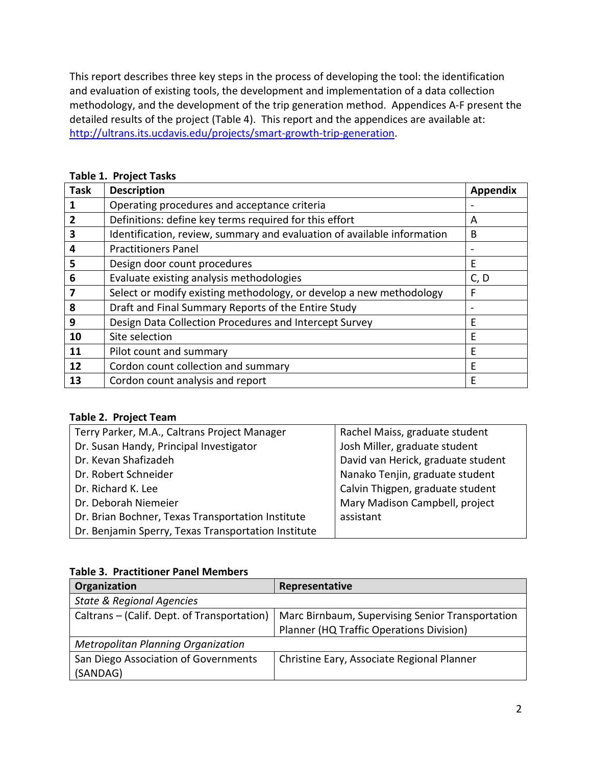This report describes three key steps in the process of developing the tool: the identification and evaluation of existing tools, the development and implementation of a data collection methodology, and the development of the trip generation method. Appendices A-F present the detailed results of the project (Table 4). This report and the appendices are available at: [http://ultrans.its.ucdavis.edu/projects/smart-growth-trip-generation.](http://ultrans.its.ucdavis.edu/projects/smart-growth-trip-generation)

| <b>Task</b> | <b>Description</b>                                                      | <b>Appendix</b> |
|-------------|-------------------------------------------------------------------------|-----------------|
|             | Operating procedures and acceptance criteria                            |                 |
|             | Definitions: define key terms required for this effort                  | A               |
| 3           | Identification, review, summary and evaluation of available information | B               |
| 4           | <b>Practitioners Panel</b>                                              |                 |
| 5           | Design door count procedures                                            | E               |
| 6           | Evaluate existing analysis methodologies                                | C, D            |
|             | Select or modify existing methodology, or develop a new methodology     | F               |
| 8           | Draft and Final Summary Reports of the Entire Study                     |                 |
| 9           | Design Data Collection Procedures and Intercept Survey                  | F               |
| 10          | Site selection                                                          | E               |
| 11          | Pilot count and summary                                                 | Е               |
| 12          | Cordon count collection and summary                                     | F               |
| 13          | Cordon count analysis and report                                        | E               |

## **Table 1. Project Tasks**

#### **Table 2. Project Team**

| Terry Parker, M.A., Caltrans Project Manager        | Rachel Maiss, graduate student     |
|-----------------------------------------------------|------------------------------------|
| Dr. Susan Handy, Principal Investigator             | Josh Miller, graduate student      |
| Dr. Kevan Shafizadeh                                | David van Herick, graduate student |
| Dr. Robert Schneider                                | Nanako Tenjin, graduate student    |
| Dr. Richard K. Lee                                  | Calvin Thigpen, graduate student   |
| Dr. Deborah Niemeier                                | Mary Madison Campbell, project     |
| Dr. Brian Bochner, Texas Transportation Institute   | assistant                          |
| Dr. Benjamin Sperry, Texas Transportation Institute |                                    |

## **Table 3. Practitioner Panel Members**

| Organization                                | Representative                                   |
|---------------------------------------------|--------------------------------------------------|
| <b>State &amp; Regional Agencies</b>        |                                                  |
| Caltrans – (Calif. Dept. of Transportation) | Marc Birnbaum, Supervising Senior Transportation |
|                                             | Planner (HQ Traffic Operations Division)         |
| <b>Metropolitan Planning Organization</b>   |                                                  |
| San Diego Association of Governments        | Christine Eary, Associate Regional Planner       |
| (SANDAG)                                    |                                                  |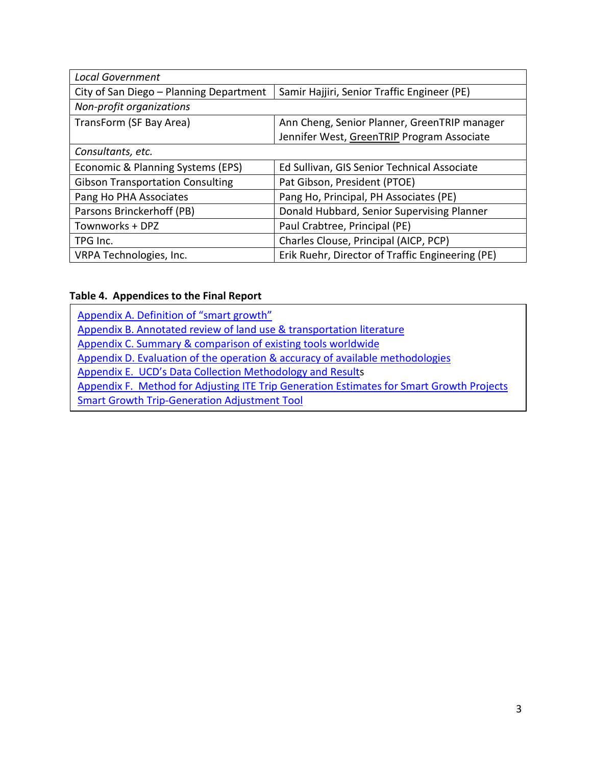| <b>Local Government</b>                 |                                                  |
|-----------------------------------------|--------------------------------------------------|
| City of San Diego - Planning Department | Samir Hajjiri, Senior Traffic Engineer (PE)      |
| Non-profit organizations                |                                                  |
| TransForm (SF Bay Area)                 | Ann Cheng, Senior Planner, GreenTRIP manager     |
|                                         | Jennifer West, GreenTRIP Program Associate       |
| Consultants, etc.                       |                                                  |
| Economic & Planning Systems (EPS)       | Ed Sullivan, GIS Senior Technical Associate      |
| <b>Gibson Transportation Consulting</b> | Pat Gibson, President (PTOE)                     |
| Pang Ho PHA Associates                  | Pang Ho, Principal, PH Associates (PE)           |
| Parsons Brinckerhoff (PB)               | Donald Hubbard, Senior Supervising Planner       |
| Townworks + DPZ                         | Paul Crabtree, Principal (PE)                    |
| TPG Inc.                                | Charles Clouse, Principal (AICP, PCP)            |
| VRPA Technologies, Inc.                 | Erik Ruehr, Director of Traffic Engineering (PE) |

# **Table 4. Appendices to the Final Report**

| Appendix A. Definition of "smart growth"                                                 |
|------------------------------------------------------------------------------------------|
| Appendix B. Annotated review of land use & transportation literature                     |
| Appendix C. Summary & comparison of existing tools worldwide                             |
| Appendix D. Evaluation of the operation & accuracy of available methodologies            |
| Appendix E. UCD's Data Collection Methodology and Results                                |
| Appendix F. Method for Adjusting ITE Trip Generation Estimates for Smart Growth Projects |
| <b>Smart Growth Trip-Generation Adjustment Tool</b>                                      |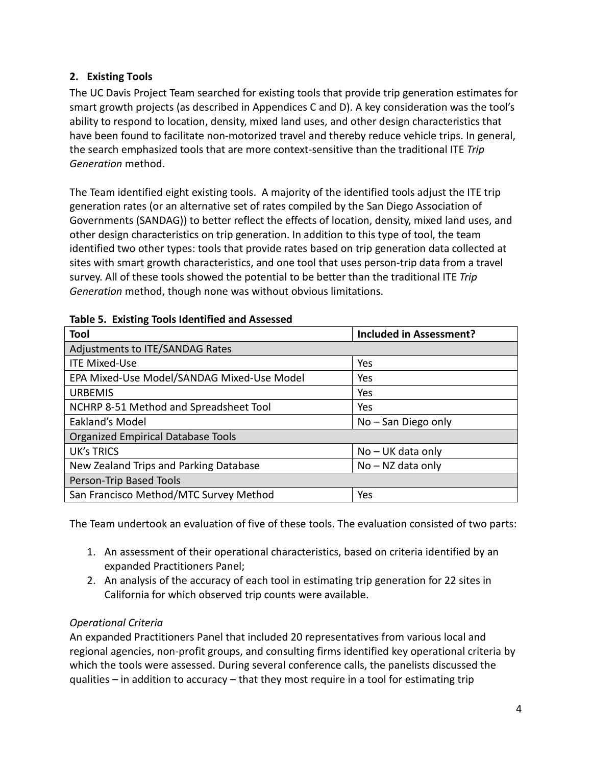# <span id="page-6-0"></span>**2. Existing Tools**

The UC Davis Project Team searched for existing tools that provide trip generation estimates for smart growth projects (as described in Appendices C and D). A key consideration was the tool's ability to respond to location, density, mixed land uses, and other design characteristics that have been found to facilitate non-motorized travel and thereby reduce vehicle trips. In general, the search emphasized tools that are more context-sensitive than the traditional ITE *Trip Generation* method.

The Team identified eight existing tools. A majority of the identified tools adjust the ITE trip generation rates (or an alternative set of rates compiled by the San Diego Association of Governments (SANDAG)) to better reflect the effects of location, density, mixed land uses, and other design characteristics on trip generation. In addition to this type of tool, the team identified two other types: tools that provide rates based on trip generation data collected at sites with smart growth characteristics, and one tool that uses person-trip data from a travel survey. All of these tools showed the potential to be better than the traditional ITE *Trip Generation* method, though none was without obvious limitations.

| Tool                                       | <b>Included in Assessment?</b> |
|--------------------------------------------|--------------------------------|
| Adjustments to ITE/SANDAG Rates            |                                |
| <b>ITE Mixed-Use</b>                       | Yes                            |
| EPA Mixed-Use Model/SANDAG Mixed-Use Model | Yes                            |
| <b>URBEMIS</b>                             | Yes                            |
| NCHRP 8-51 Method and Spreadsheet Tool     | Yes                            |
| Eakland's Model                            | $No - San Diego only$          |
| <b>Organized Empirical Database Tools</b>  |                                |
| <b>UK's TRICS</b>                          | $No$ – UK data only            |
| New Zealand Trips and Parking Database     | $No - NZ$ data only            |
| Person-Trip Based Tools                    |                                |
| San Francisco Method/MTC Survey Method     | Yes                            |

#### **Table 5. Existing Tools Identified and Assessed**

The Team undertook an evaluation of five of these tools. The evaluation consisted of two parts:

- 1. An assessment of their operational characteristics, based on criteria identified by an expanded Practitioners Panel;
- 2. An analysis of the accuracy of each tool in estimating trip generation for 22 sites in California for which observed trip counts were available.

## *Operational Criteria*

An expanded Practitioners Panel that included 20 representatives from various local and regional agencies, non-profit groups, and consulting firms identified key operational criteria by which the tools were assessed. During several conference calls, the panelists discussed the qualities – in addition to accuracy – that they most require in a tool for estimating trip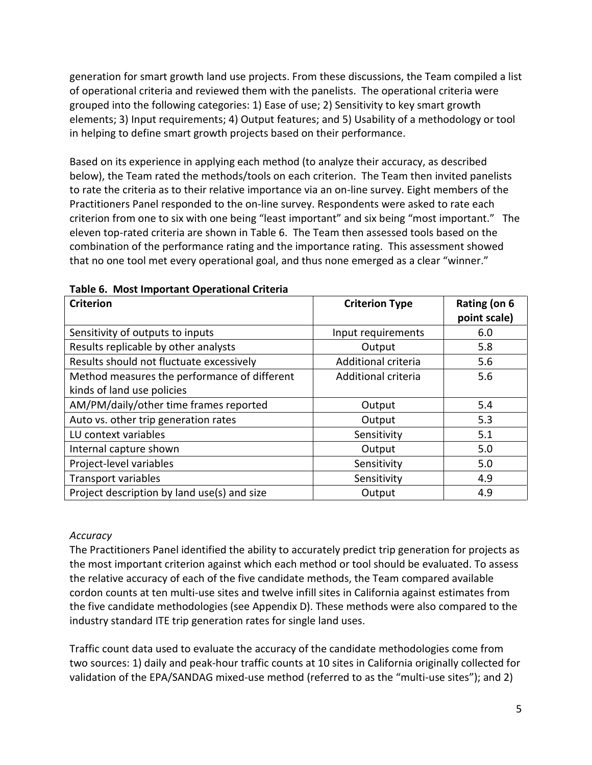generation for smart growth land use projects. From these discussions, the Team compiled a list of operational criteria and reviewed them with the panelists. The operational criteria were grouped into the following categories: 1) Ease of use; 2) Sensitivity to key smart growth elements; 3) Input requirements; 4) Output features; and 5) Usability of a methodology or tool in helping to define smart growth projects based on their performance.

Based on its experience in applying each method (to analyze their accuracy, as described below), the Team rated the methods/tools on each criterion. The Team then invited panelists to rate the criteria as to their relative importance via an on-line survey. Eight members of the Practitioners Panel responded to the on-line survey. Respondents were asked to rate each criterion from one to six with one being "least important" and six being "most important." The eleven top-rated criteria are shown in Table 6. The Team then assessed tools based on the combination of the performance rating and the importance rating. This assessment showed that no one tool met every operational goal, and thus none emerged as a clear "winner."

| <b>Criterion</b>                             | <b>Criterion Type</b> | Rating (on 6<br>point scale) |
|----------------------------------------------|-----------------------|------------------------------|
| Sensitivity of outputs to inputs             | Input requirements    | 6.0                          |
| Results replicable by other analysts         | Output                | 5.8                          |
| Results should not fluctuate excessively     | Additional criteria   | 5.6                          |
| Method measures the performance of different | Additional criteria   | 5.6                          |
| kinds of land use policies                   |                       |                              |
| AM/PM/daily/other time frames reported       | Output                | 5.4                          |
| Auto vs. other trip generation rates         | Output                | 5.3                          |
| LU context variables                         | Sensitivity           | 5.1                          |
| Internal capture shown                       | Output                | 5.0                          |
| Project-level variables                      | Sensitivity           | 5.0                          |
| Transport variables                          | Sensitivity           | 4.9                          |
| Project description by land use(s) and size  | Output                | 4.9                          |

|  |  |  | Table 6. Most Important Operational Criteria |  |
|--|--|--|----------------------------------------------|--|
|--|--|--|----------------------------------------------|--|

#### *Accuracy*

The Practitioners Panel identified the ability to accurately predict trip generation for projects as the most important criterion against which each method or tool should be evaluated. To assess the relative accuracy of each of the five candidate methods, the Team compared available cordon counts at ten multi-use sites and twelve infill sites in California against estimates from the five candidate methodologies (see Appendix D). These methods were also compared to the industry standard ITE trip generation rates for single land uses.

Traffic count data used to evaluate the accuracy of the candidate methodologies come from two sources: 1) daily and peak-hour traffic counts at 10 sites in California originally collected for validation of the EPA/SANDAG mixed-use method (referred to as the "multi-use sites"); and 2)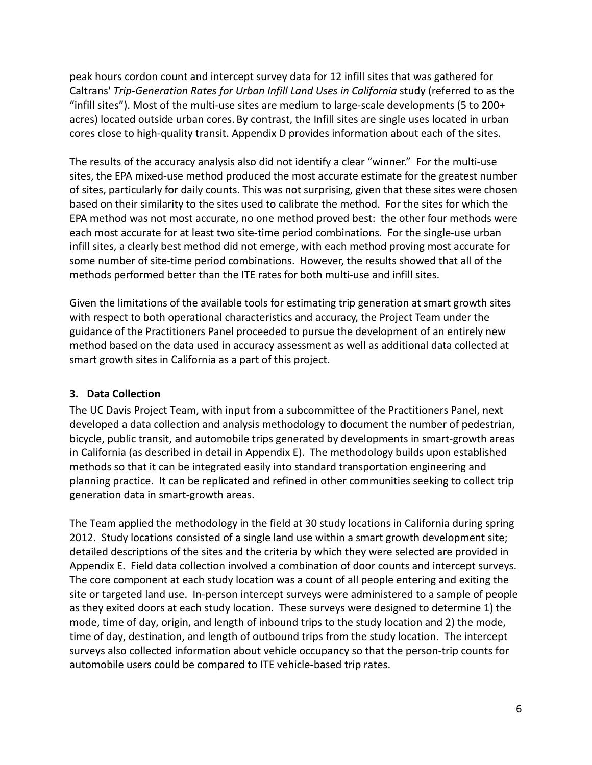peak hours cordon count and intercept survey data for 12 infill sites that was gathered for Caltrans' *Trip-Generation Rates for Urban Infill Land Uses in California* study (referred to as the "infill sites"). Most of the multi-use sites are medium to large-scale developments (5 to 200+ acres) located outside urban cores. By contrast, the Infill sites are single uses located in urban cores close to high-quality transit. Appendix D provides information about each of the sites.

The results of the accuracy analysis also did not identify a clear "winner." For the multi-use sites, the EPA mixed-use method produced the most accurate estimate for the greatest number of sites, particularly for daily counts. This was not surprising, given that these sites were chosen based on their similarity to the sites used to calibrate the method. For the sites for which the EPA method was not most accurate, no one method proved best: the other four methods were each most accurate for at least two site-time period combinations. For the single-use urban infill sites, a clearly best method did not emerge, with each method proving most accurate for some number of site-time period combinations. However, the results showed that all of the methods performed better than the ITE rates for both multi-use and infill sites.

Given the limitations of the available tools for estimating trip generation at smart growth sites with respect to both operational characteristics and accuracy, the Project Team under the guidance of the Practitioners Panel proceeded to pursue the development of an entirely new method based on the data used in accuracy assessment as well as additional data collected at smart growth sites in California as a part of this project.

## <span id="page-8-0"></span>**3. Data Collection**

The UC Davis Project Team, with input from a subcommittee of the Practitioners Panel, next developed a data collection and analysis methodology to document the number of pedestrian, bicycle, public transit, and automobile trips generated by developments in smart-growth areas in California (as described in detail in Appendix E). The methodology builds upon established methods so that it can be integrated easily into standard transportation engineering and planning practice. It can be replicated and refined in other communities seeking to collect trip generation data in smart-growth areas.

The Team applied the methodology in the field at 30 study locations in California during spring 2012. Study locations consisted of a single land use within a smart growth development site; detailed descriptions of the sites and the criteria by which they were selected are provided in Appendix E. Field data collection involved a combination of door counts and intercept surveys. The core component at each study location was a count of all people entering and exiting the site or targeted land use. In-person intercept surveys were administered to a sample of people as they exited doors at each study location. These surveys were designed to determine 1) the mode, time of day, origin, and length of inbound trips to the study location and 2) the mode, time of day, destination, and length of outbound trips from the study location. The intercept surveys also collected information about vehicle occupancy so that the person-trip counts for automobile users could be compared to ITE vehicle-based trip rates.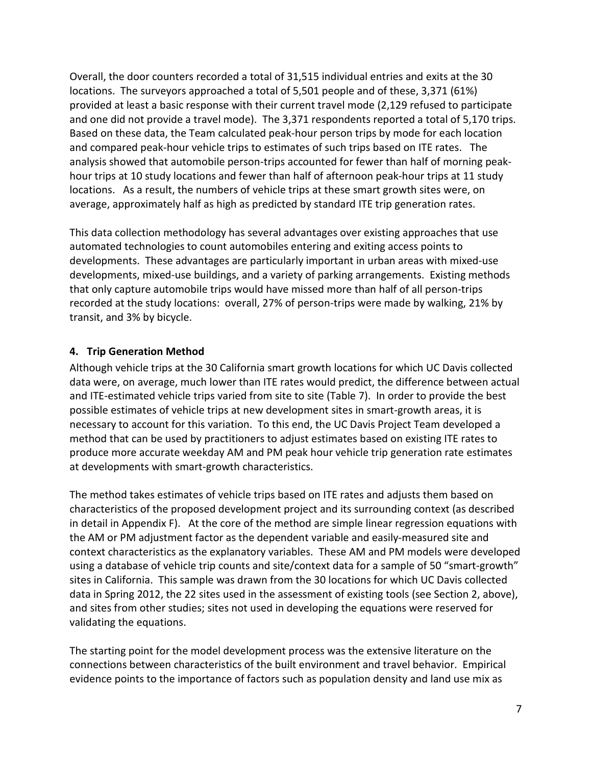Overall, the door counters recorded a total of 31,515 individual entries and exits at the 30 locations. The surveyors approached a total of 5,501 people and of these, 3,371 (61%) provided at least a basic response with their current travel mode (2,129 refused to participate and one did not provide a travel mode). The 3,371 respondents reported a total of 5,170 trips. Based on these data, the Team calculated peak-hour person trips by mode for each location and compared peak-hour vehicle trips to estimates of such trips based on ITE rates. The analysis showed that automobile person-trips accounted for fewer than half of morning peakhour trips at 10 study locations and fewer than half of afternoon peak-hour trips at 11 study locations. As a result, the numbers of vehicle trips at these smart growth sites were, on average, approximately half as high as predicted by standard ITE trip generation rates.

This data collection methodology has several advantages over existing approaches that use automated technologies to count automobiles entering and exiting access points to developments. These advantages are particularly important in urban areas with mixed-use developments, mixed-use buildings, and a variety of parking arrangements. Existing methods that only capture automobile trips would have missed more than half of all person-trips recorded at the study locations: overall, 27% of person-trips were made by walking, 21% by transit, and 3% by bicycle.

# <span id="page-9-0"></span>**4. Trip Generation Method**

Although vehicle trips at the 30 California smart growth locations for which UC Davis collected data were, on average, much lower than ITE rates would predict, the difference between actual and ITE-estimated vehicle trips varied from site to site (Table 7). In order to provide the best possible estimates of vehicle trips at new development sites in smart-growth areas, it is necessary to account for this variation. To this end, the UC Davis Project Team developed a method that can be used by practitioners to adjust estimates based on existing ITE rates to produce more accurate weekday AM and PM peak hour vehicle trip generation rate estimates at developments with smart-growth characteristics.

The method takes estimates of vehicle trips based on ITE rates and adjusts them based on characteristics of the proposed development project and its surrounding context (as described in detail in Appendix F). At the core of the method are simple linear regression equations with the AM or PM adjustment factor as the dependent variable and easily-measured site and context characteristics as the explanatory variables. These AM and PM models were developed using a database of vehicle trip counts and site/context data for a sample of 50 "smart-growth" sites in California. This sample was drawn from the 30 locations for which UC Davis collected data in Spring 2012, the 22 sites used in the assessment of existing tools (see Section 2, above), and sites from other studies; sites not used in developing the equations were reserved for validating the equations.

The starting point for the model development process was the extensive literature on the connections between characteristics of the built environment and travel behavior. Empirical evidence points to the importance of factors such as population density and land use mix as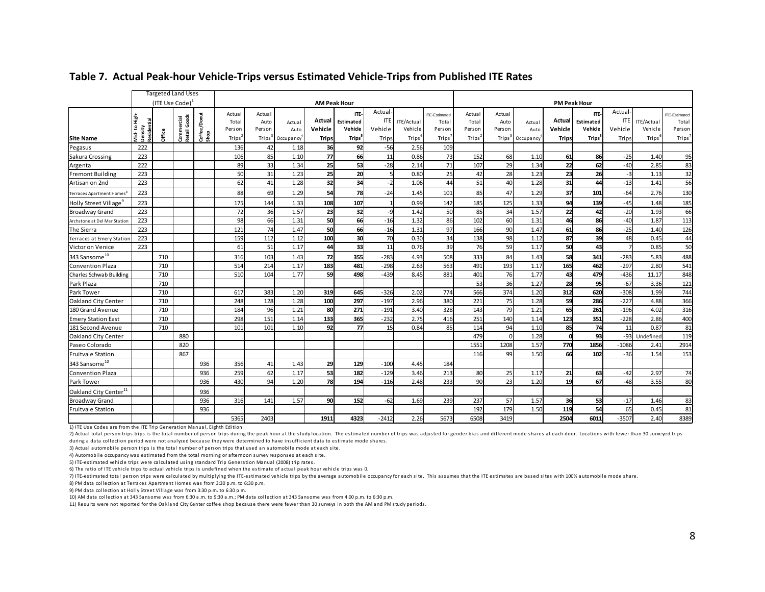|                                   |                         |                             | <b>Targeted Land Uses</b>  |                      |                                                 |                                   |                             |                                          |                                                          |                                          |                                             |                                                  |                                                 |                                   |                                          |                                   |                                                          |                                          |                                    |                                                 |
|-----------------------------------|-------------------------|-----------------------------|----------------------------|----------------------|-------------------------------------------------|-----------------------------------|-----------------------------|------------------------------------------|----------------------------------------------------------|------------------------------------------|---------------------------------------------|--------------------------------------------------|-------------------------------------------------|-----------------------------------|------------------------------------------|-----------------------------------|----------------------------------------------------------|------------------------------------------|------------------------------------|-------------------------------------------------|
|                                   |                         | (ITE Use Code) <sup>1</sup> |                            |                      |                                                 | <b>AM Peak Hour</b>               |                             |                                          |                                                          |                                          |                                             |                                                  |                                                 | <b>PM Peak Hour</b>               |                                          |                                   |                                                          |                                          |                                    |                                                 |
| <b>Site Name</b>                  | Mid-to High-<br>Density | Office                      | Commercial<br>Retail Goods | Coffee/Donut<br>Shop | Actual<br>Total<br>Person<br>Trips <sup>*</sup> | Actual<br>Auto<br>Person<br>Trips | Actual<br>Auto<br>Occupancy | <b>Actual</b><br>Vehicle<br><b>Trips</b> | <b>ITE</b><br>Estimated<br>Vehicle<br>Trips <sup>5</sup> | Actual<br><b>ITE</b><br>Vehicle<br>Trips | ITE/Actual<br>Vehicle<br>Trips <sup>6</sup> | <b>ITE-Estimated</b><br>Total<br>Person<br>Trips | Actual<br>Total<br>Person<br>Trips <sup>*</sup> | Actual<br>Auto<br>Person<br>Trips | Actual<br>Auto<br>Occupancy <sup>®</sup> | Actual<br>Vehicle<br><b>Trips</b> | <b>ITE</b><br>Estimated<br>Vehicle<br>Trips <sup>5</sup> | Actual<br><b>ITE</b><br>Vehicle<br>Trips | ITE/Actual<br>Vehicle<br>$Trips^6$ | TE-Estimated<br>Total<br>Person<br><b>Trips</b> |
|                                   |                         |                             |                            |                      |                                                 |                                   |                             |                                          |                                                          |                                          |                                             |                                                  |                                                 |                                   |                                          |                                   |                                                          |                                          |                                    |                                                 |
| Pegasus                           | 222                     |                             |                            |                      | 136                                             | 42                                | 1.18                        | 36                                       | 92                                                       | $-56$                                    | 2.56                                        | 109                                              |                                                 |                                   |                                          |                                   |                                                          |                                          |                                    |                                                 |
| Sakura Crossing                   | 223<br>222              |                             |                            |                      | 106                                             | 85                                | 1.10                        | 77                                       | 66                                                       | 11<br>$-28$                              | 0.86<br>2.14                                | 73                                               | 152<br>107                                      | 68                                | 1.10<br>1.34                             | 61                                | 86                                                       | $-25$                                    | 1.40<br>2.85                       | 95                                              |
| Argenta                           |                         |                             |                            |                      | 89                                              | 33                                | 1.34                        | 25                                       | 53                                                       |                                          |                                             | 71                                               |                                                 | 29                                |                                          | 22                                | 62                                                       | $-40$                                    |                                    | 83                                              |
| <b>Fremont Building</b>           | 223                     |                             |                            |                      | 50                                              | 31                                | 1.23                        | 25                                       | 20                                                       | 5                                        | 0.80                                        | 25                                               | 42                                              | 28                                | 1.23                                     | 23                                | 26                                                       | $-3$                                     | 1.13                               | $\overline{32}$                                 |
| Artisan on 2nd                    | 223                     |                             |                            |                      | 62                                              | 41                                | 1.28                        | 32                                       | 34                                                       | $-2$                                     | 1.06                                        | 44                                               | 51                                              | 40                                | 1.28                                     | 31                                | 44                                                       | $-13$                                    | 1.41                               | 56                                              |
| Terraces Apartment Homes          | 223                     |                             |                            |                      | 88                                              | 69                                | 1.29                        | 54                                       | 78                                                       | $-24$                                    | 1.45                                        | 101                                              | 85                                              | 47                                | 1.29                                     | 37                                | 101                                                      | $-64$                                    | 2.76                               | 130                                             |
| Holly Street Village <sup>9</sup> | 223                     |                             |                            |                      | 175                                             | 144                               | 1.33                        | 108                                      | 107                                                      | $\overline{1}$                           | 0.99                                        | 142                                              | 185                                             | 125                               | 1.33                                     | 94                                | 139                                                      | $-45$                                    | 1.48                               | 185                                             |
| <b>Broadway Grand</b>             | 223                     |                             |                            |                      | 72                                              | 36                                | 1.57                        | 23                                       | 32                                                       | -9                                       | 1.42                                        | 50                                               | 85                                              | 34                                | 1.57                                     | 22                                | 42                                                       | $-20$                                    | 1.93                               | 66                                              |
| Archstone at Del Mar Station      | 223                     |                             |                            |                      | 98                                              | 66                                | 1.31                        | 50                                       | 66                                                       | $-16$                                    | 1.32                                        | 86                                               | 102                                             | 60                                | 1.31                                     | 46                                | 86                                                       | $-40$                                    | 1.87                               | 113                                             |
| The Sierra                        | 223                     |                             |                            |                      | 121                                             | 74                                | 1.47                        | 50                                       | 66                                                       | $-16$                                    | 1.31                                        | 97                                               | 166                                             | 90                                | 1.47                                     | 61                                | 86                                                       | $-25$                                    | 1.40                               | 126                                             |
| Terraces at Emery Station         | 223                     |                             |                            |                      | 159                                             | 112                               | 1.12                        | 100                                      | 30                                                       | 70                                       | 0.30                                        | 34                                               | 138                                             | 98                                | 1.12                                     | 87                                | 39                                                       | 48                                       | 0.45                               | 44                                              |
| Victor on Venice                  | 223                     |                             |                            |                      | 61                                              | 51                                | 1.17                        | 44                                       | 33                                                       | 11                                       | 0.76                                        | 39                                               | 76                                              | 59                                | 1.17                                     | 50                                | 43                                                       |                                          | 0.85                               | 50                                              |
| 343 Sansome <sup>10</sup>         |                         | 710                         |                            |                      | 316                                             | 103                               | 1.43                        | 72                                       | 355                                                      | $-283$                                   | 4.93                                        | 508                                              | 333                                             | 84                                | 1.43                                     | 58                                | 341                                                      | $-283$                                   | 5.83                               | 488                                             |
| <b>Convention Plaza</b>           |                         | 710                         |                            |                      | 514                                             | 214                               | 1.17                        | 183                                      | 481                                                      | $-298$                                   | 2.63                                        | 563                                              | 491                                             | 193                               | 1.17                                     | 165                               | 462                                                      | $-297$                                   | 2.80                               | 541                                             |
| <b>Charles Schwab Building</b>    |                         | 710                         |                            |                      | 510                                             | 104                               | 1.77                        | 59                                       | 498                                                      | $-439$                                   | 8.45                                        | 881                                              | 401                                             | 76                                | 1.77                                     | 43                                | 479                                                      | $-436$                                   | 11.17                              | 848                                             |
| Park Plaza                        |                         | 710                         |                            |                      |                                                 |                                   |                             |                                          |                                                          |                                          |                                             |                                                  | 53                                              | 36                                | 1.27                                     | 28                                | 95                                                       | $-67$                                    | 3.36                               | 121                                             |
| Park Tower                        |                         | 710                         |                            |                      | 617                                             | 383                               | 1.20                        | 319                                      | 645                                                      | $-326$                                   | 2.02                                        | 774                                              | 566                                             | 374                               | 1.20                                     | 312                               | 620                                                      | $-308$                                   | 1.99                               | 744                                             |
| Oakland City Center               |                         | 710                         |                            |                      | 248                                             | 128                               | 1.28                        | 100                                      | 297                                                      | $-197$                                   | 2.96                                        | 380                                              | 221                                             | 75                                | 1.28                                     | 59                                | 286                                                      | $-227$                                   | 4.88                               | 366                                             |
| 180 Grand Avenue                  |                         | 710                         |                            |                      | 184                                             | 96                                | 1.21                        | 80                                       | 271                                                      | $-191$                                   | 3.40                                        | 328                                              | 143                                             | 79                                | 1.21                                     | 65                                | 261                                                      | $-196$                                   | 4.02                               | 316                                             |
| <b>Emery Station East</b>         |                         | 710                         |                            |                      | 298                                             | 151                               | 1.14                        | 133                                      | 365                                                      | $-232$                                   | 2.75                                        | 416                                              | 251                                             | 140                               | 1.14                                     | 123                               | 351                                                      | $-228$                                   | 2.86                               | 400                                             |
| 181 Second Avenue                 |                         | 710                         |                            |                      | 101                                             | 101                               | 1.10                        | 92                                       | 77                                                       | 15                                       | 0.84                                        | 85                                               | 114                                             | 94                                | 1.10                                     | 85                                | 74                                                       | 11                                       | 0.87                               | 81                                              |
| Oakland City Center               |                         |                             | 880                        |                      |                                                 |                                   |                             |                                          |                                                          |                                          |                                             |                                                  | 479                                             |                                   | 1.28                                     | $\Omega$                          | 93                                                       | $-93$                                    | Undefined                          | 119                                             |
| Paseo Colorado                    |                         |                             | 820                        |                      |                                                 |                                   |                             |                                          |                                                          |                                          |                                             |                                                  | 1551                                            | 1208                              | 1.57                                     | 770                               | 1856                                                     | $-1086$                                  | 2.41                               | 2914                                            |
| <b>Fruitvale Station</b>          |                         |                             | 867                        |                      |                                                 |                                   |                             |                                          |                                                          |                                          |                                             |                                                  | 116                                             | 99                                | 1.50                                     | 66                                | 102                                                      | $-36$                                    | 1.54                               | 153                                             |
| 343 Sansome <sup>10</sup>         |                         |                             |                            | 936                  | 356                                             | 41                                | 1.43                        | 29                                       | 129                                                      | $-100$                                   | 4.45                                        | 184                                              |                                                 |                                   |                                          |                                   |                                                          |                                          |                                    |                                                 |
| <b>Convention Plaza</b>           |                         |                             |                            | 936                  | 259                                             | 62                                | 1.17                        | 53                                       | 182                                                      | $-129$                                   | 3.46                                        | 213                                              | 80                                              | 25                                | 1.17                                     | 21                                | 63                                                       | $-42$                                    | 2.97                               | 74                                              |
| Park Tower                        |                         |                             |                            | 936                  | 430                                             | 94                                | 1.20                        | 78                                       | 194                                                      | $-116$                                   | 2.48                                        | 233                                              | 90                                              | 23                                | 1.20                                     | 19                                | 67                                                       | $-48$                                    | 3.55                               | 80                                              |
| Oakland City Center <sup>11</sup> |                         |                             |                            | 936                  |                                                 |                                   |                             |                                          |                                                          |                                          |                                             |                                                  |                                                 |                                   |                                          |                                   |                                                          |                                          |                                    |                                                 |
| <b>Broadway Grand</b>             |                         |                             |                            | 936                  | 316                                             | 141                               | 1.57                        | 90                                       | 152                                                      | $-62$                                    | 1.69                                        | 239                                              | 237                                             | 57                                | 1.57                                     | 36                                | 53                                                       | $-17$                                    | 1.46                               | 83                                              |
| <b>Fruitvale Station</b>          |                         |                             |                            | 936                  |                                                 |                                   |                             |                                          |                                                          |                                          |                                             |                                                  | 192                                             | 179                               | 1.50                                     | 119                               | 54                                                       | 65                                       | 0.45                               | 81                                              |
|                                   |                         |                             |                            |                      | 5365                                            | 2403                              |                             | 1911                                     | 4323                                                     | $-2412$                                  | 2.26                                        | 5673                                             | 6508                                            | 3419                              |                                          | 2504                              | 6011                                                     | $-3507$                                  | 2.40                               | 8389                                            |

#### **Table 7. Actual Peak-hour Vehicle-Trips versus Estimated Vehicle-Trips from Published ITE Rates**

1) ITE Use Codes are from the ITE Trip Generation Manual, Eighth Edition.

2) Actual total person trips trips is the total number of person trips during the peak hour at the study location. The estimated number of trips was adjusted for gender bias and different mode shares at each door. Location during a data collection period were not analyzed because they were determined to have insufficient data to estimate mode shares.

3) Actual automobile person trips is the total number of person trips that used an automobile mode at each site.

4) Automobile occupancy was estimated from the total morning or afternoon survey responses at each site.

5) ITE-estimated vehicle trips were calculated using standard Trip Generation Manual (2008) trip rates.

6) The ratio of ITE vehicle trips to actual vehicle trips is undefined when the estimate of actual peak hour vehicle trips was 0.

7) ITE-estimated total person trips were calculated by multiplying the ITE-estimated vehicle trips by the average automobile occupancy for each site. This assumes that the ITE estimates are based sites with 100% automobile

8) PM data collection at Terraces Apartment Homes was from 3:30 p.m. to 6:30 p.m.

9) PM data collection at Holly Street Village was from 3:30 p.m. to 6:30 p.m.

10) AM data collection at 343 Sansome was from 6:30 a.m. to 9:30 a.m.; PM data collection at 343 Sansome was from 4:00 p.m. to 6:30 p.m.

11) Results were not reported for the Oakland City Center coffee shop because there were fewer than 30 surveys in both the AM and PM study periods.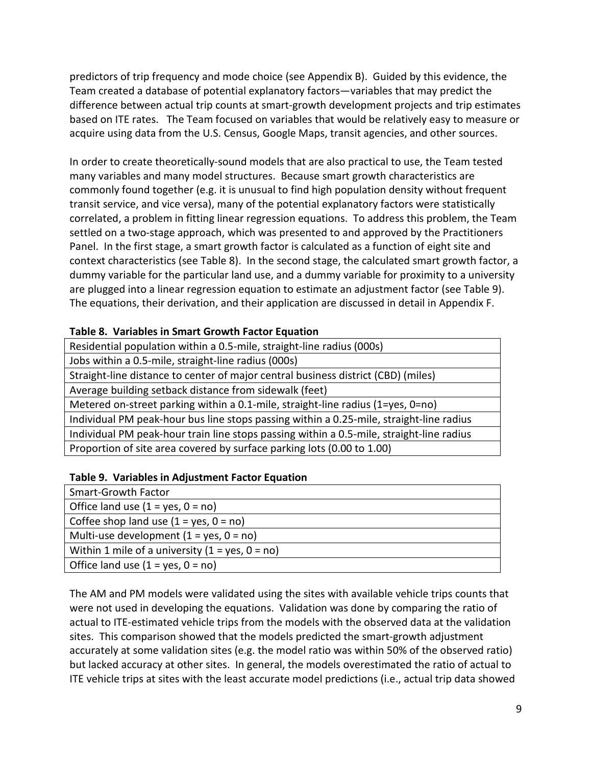predictors of trip frequency and mode choice (see Appendix B). Guided by this evidence, the Team created a database of potential explanatory factors—variables that may predict the difference between actual trip counts at smart-growth development projects and trip estimates based on ITE rates. The Team focused on variables that would be relatively easy to measure or acquire using data from the U.S. Census, Google Maps, transit agencies, and other sources.

In order to create theoretically-sound models that are also practical to use, the Team tested many variables and many model structures. Because smart growth characteristics are commonly found together (e.g. it is unusual to find high population density without frequent transit service, and vice versa), many of the potential explanatory factors were statistically correlated, a problem in fitting linear regression equations. To address this problem, the Team settled on a two-stage approach, which was presented to and approved by the Practitioners Panel. In the first stage, a smart growth factor is calculated as a function of eight site and context characteristics (see Table 8). In the second stage, the calculated smart growth factor, a dummy variable for the particular land use, and a dummy variable for proximity to a university are plugged into a linear regression equation to estimate an adjustment factor (see Table 9). The equations, their derivation, and their application are discussed in detail in Appendix F.

## **Table 8. Variables in Smart Growth Factor Equation**

| Residential population within a 0.5-mile, straight-line radius (000s)                         |
|-----------------------------------------------------------------------------------------------|
| Jobs within a 0.5-mile, straight-line radius (000s)                                           |
| Straight-line distance to center of major central business district (CBD) (miles)             |
| Average building setback distance from sidewalk (feet)                                        |
| Metered on-street parking within a $0.1$ -mile, straight-line radius ( $1 = yes$ , $0 = no$ ) |
| Individual PM peak-hour bus line stops passing within a 0.25-mile, straight-line radius       |
| Individual PM peak-hour train line stops passing within a 0.5-mile, straight-line radius      |
| Proportion of site area covered by surface parking lots (0.00 to 1.00)                        |
|                                                                                               |

#### **Table 9. Variables in Adjustment Factor Equation**

| <b>Smart-Growth Factor</b>                        |  |
|---------------------------------------------------|--|
| Office land use $(1 = yes, 0 = no)$               |  |
| Coffee shop land use $(1 = yes, 0 = no)$          |  |
| Multi-use development $(1 = yes, 0 = no)$         |  |
| Within 1 mile of a university $(1 = yes, 0 = no)$ |  |
| Office land use $(1 = yes, 0 = no)$               |  |

The AM and PM models were validated using the sites with available vehicle trips counts that were not used in developing the equations. Validation was done by comparing the ratio of actual to ITE-estimated vehicle trips from the models with the observed data at the validation sites. This comparison showed that the models predicted the smart-growth adjustment accurately at some validation sites (e.g. the model ratio was within 50% of the observed ratio) but lacked accuracy at other sites. In general, the models overestimated the ratio of actual to ITE vehicle trips at sites with the least accurate model predictions (i.e., actual trip data showed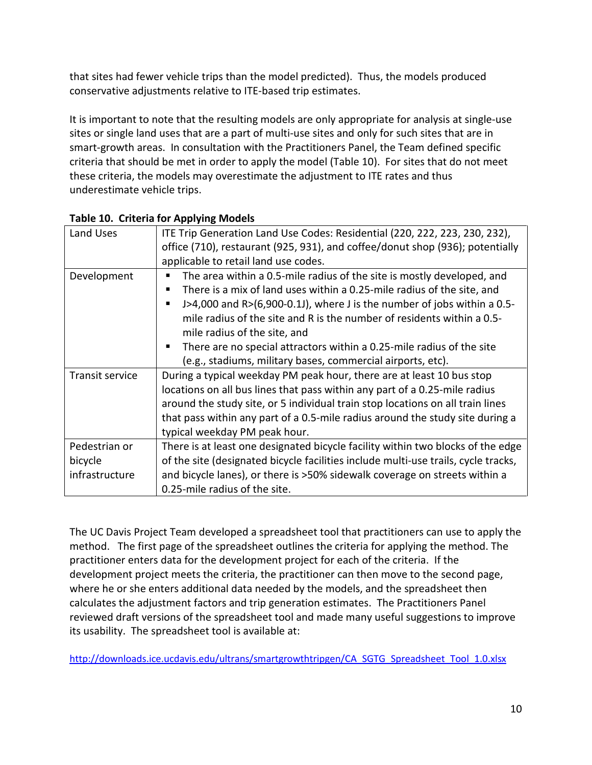that sites had fewer vehicle trips than the model predicted). Thus, the models produced conservative adjustments relative to ITE-based trip estimates.

It is important to note that the resulting models are only appropriate for analysis at single-use sites or single land uses that are a part of multi-use sites and only for such sites that are in smart-growth areas. In consultation with the Practitioners Panel, the Team defined specific criteria that should be met in order to apply the model (Table 10). For sites that do not meet these criteria, the models may overestimate the adjustment to ITE rates and thus underestimate vehicle trips.

| Land Uses              | ITE Trip Generation Land Use Codes: Residential (220, 222, 223, 230, 232),         |
|------------------------|------------------------------------------------------------------------------------|
|                        | office (710), restaurant (925, 931), and coffee/donut shop (936); potentially      |
|                        | applicable to retail land use codes.                                               |
| Development            | The area within a 0.5-mile radius of the site is mostly developed, and             |
|                        | There is a mix of land uses within a 0.25-mile radius of the site, and             |
|                        | J>4,000 and R> $(6,900-0.1)$ , where J is the number of jobs within a 0.5-         |
|                        | mile radius of the site and R is the number of residents within a 0.5-             |
|                        | mile radius of the site, and                                                       |
|                        | There are no special attractors within a 0.25-mile radius of the site              |
|                        | (e.g., stadiums, military bases, commercial airports, etc).                        |
| <b>Transit service</b> | During a typical weekday PM peak hour, there are at least 10 bus stop              |
|                        | locations on all bus lines that pass within any part of a 0.25-mile radius         |
|                        | around the study site, or 5 individual train stop locations on all train lines     |
|                        | that pass within any part of a 0.5-mile radius around the study site during a      |
|                        | typical weekday PM peak hour.                                                      |
| Pedestrian or          | There is at least one designated bicycle facility within two blocks of the edge    |
| bicycle                | of the site (designated bicycle facilities include multi-use trails, cycle tracks, |
| infrastructure         | and bicycle lanes), or there is >50% sidewalk coverage on streets within a         |
|                        | 0.25-mile radius of the site.                                                      |

# **Table 10. Criteria for Applying Models**

The UC Davis Project Team developed a spreadsheet tool that practitioners can use to apply the method. The first page of the spreadsheet outlines the criteria for applying the method. The practitioner enters data for the development project for each of the criteria. If the development project meets the criteria, the practitioner can then move to the second page, where he or she enters additional data needed by the models, and the spreadsheet then calculates the adjustment factors and trip generation estimates. The Practitioners Panel reviewed draft versions of the spreadsheet tool and made many useful suggestions to improve its usability. The spreadsheet tool is available at:

[http://downloads.ice.ucdavis.edu/ultrans/smartgrowthtripgen/CA\\_SGTG\\_Spreadsheet\\_Tool\\_1.0.xlsx](http://downloads.ice.ucdavis.edu/ultrans/smartgrowthtripgen/CA_SGTG_Spreadsheet_Tool_1.0.xlsx)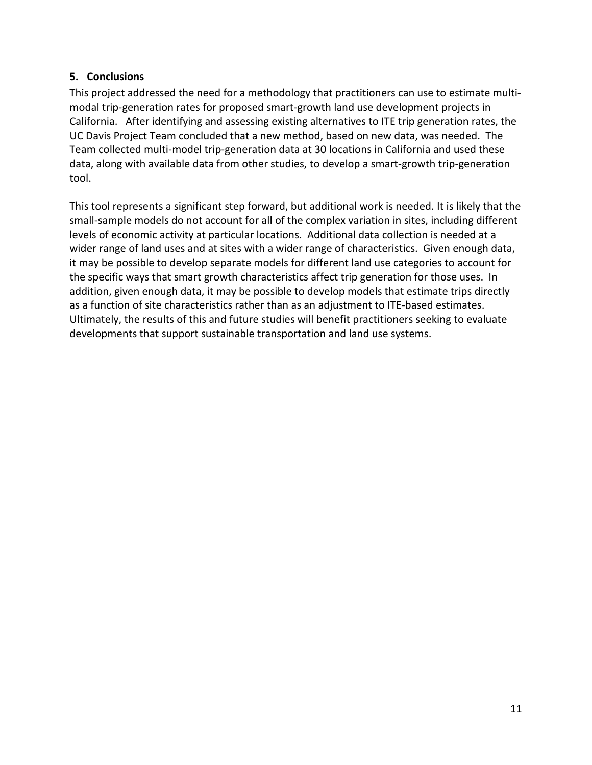## <span id="page-13-0"></span>**5. Conclusions**

This project addressed the need for a methodology that practitioners can use to estimate multimodal trip-generation rates for proposed smart-growth land use development projects in California. After identifying and assessing existing alternatives to ITE trip generation rates, the UC Davis Project Team concluded that a new method, based on new data, was needed. The Team collected multi-model trip-generation data at 30 locations in California and used these data, along with available data from other studies, to develop a smart-growth trip-generation tool.

This tool represents a significant step forward, but additional work is needed. It is likely that the small-sample models do not account for all of the complex variation in sites, including different levels of economic activity at particular locations. Additional data collection is needed at a wider range of land uses and at sites with a wider range of characteristics. Given enough data, it may be possible to develop separate models for different land use categories to account for the specific ways that smart growth characteristics affect trip generation for those uses. In addition, given enough data, it may be possible to develop models that estimate trips directly as a function of site characteristics rather than as an adjustment to ITE-based estimates. Ultimately, the results of this and future studies will benefit practitioners seeking to evaluate developments that support sustainable transportation and land use systems.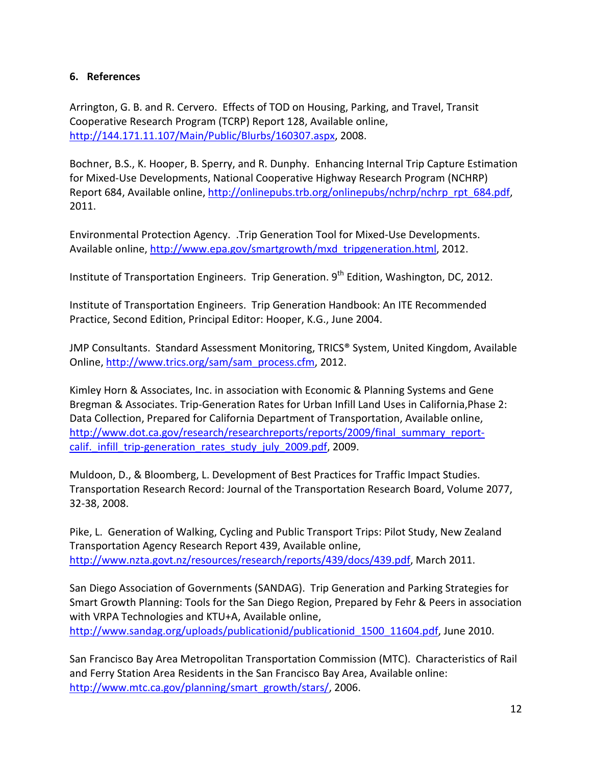## <span id="page-14-0"></span>**6. References**

Arrington, G. B. and R. Cervero. Effects of TOD on Housing, Parking, and Travel, Transit Cooperative Research Program (TCRP) Report 128, Available online, [http://144.171.11.107/Main/Public/Blurbs/160307.aspx,](http://144.171.11.107/Main/Public/Blurbs/160307.aspx) 2008.

Bochner, B.S., K. Hooper, B. Sperry, and R. Dunphy. Enhancing Internal Trip Capture Estimation for Mixed-Use Developments, National Cooperative Highway Research Program (NCHRP) Report 684, Available online, [http://onlinepubs.trb.org/onlinepubs/nchrp/nchrp\\_rpt\\_684.pdf,](http://onlinepubs.trb.org/onlinepubs/nchrp/nchrp_rpt_684.pdf) 2011.

Environmental Protection Agency. .Trip Generation Tool for Mixed-Use Developments. Available online, [http://www.epa.gov/smartgrowth/mxd\\_tripgeneration.html,](http://www.epa.gov/smartgrowth/mxd_tripgeneration.html) 2012.

Institute of Transportation Engineers. Trip Generation. 9<sup>th</sup> Edition, Washington, DC, 2012.

Institute of Transportation Engineers. Trip Generation Handbook: An ITE Recommended Practice, Second Edition, Principal Editor: Hooper, K.G., June 2004.

JMP Consultants. Standard Assessment Monitoring, TRICS® System, United Kingdom, Available Online[, http://www.trics.org/sam/sam\\_process.cfm,](http://www.trics.org/sam/sam_process.cfm) 2012.

Kimley Horn & Associates, Inc. in association with Economic & Planning Systems and Gene Bregman & Associates. Trip-Generation Rates for Urban Infill Land Uses in California,Phase 2: Data Collection, Prepared for California Department of Transportation, Available online, [http://www.dot.ca.gov/research/researchreports/reports/2009/final\\_summary\\_report](http://www.dot.ca.gov/research/researchreports/reports/2009/final_summary_report-calif._infill_trip-generation_rates_study_july_2009.pdf)calif. infill trip-generation rates study july 2009.pdf, 2009.

Muldoon, D., & Bloomberg, L. Development of Best Practices for Traffic Impact Studies. Transportation Research Record: Journal of the Transportation Research Board, Volume 2077, 32-38, 2008.

Pike, L. Generation of Walking, Cycling and Public Transport Trips: Pilot Study, New Zealand Transportation Agency Research Report 439, Available online, [http://www.nzta.govt.nz/resources/research/reports/439/docs/439.pdf,](http://www.nzta.govt.nz/resources/research/reports/439/docs/439.pdf) March 2011.

San Diego Association of Governments (SANDAG). Trip Generation and Parking Strategies for Smart Growth Planning: Tools for the San Diego Region, Prepared by Fehr & Peers in association with VRPA Technologies and KTU+A, Available online, [http://www.sandag.org/uploads/publicationid/publicationid\\_1500\\_11604.pdf,](http://www.sandag.org/uploads/publicationid/publicationid_1500_11604.pdf) June 2010.

San Francisco Bay Area Metropolitan Transportation Commission (MTC). Characteristics of Rail and Ferry Station Area Residents in the San Francisco Bay Area, Available online: [http://www.mtc.ca.gov/planning/smart\\_growth/stars/,](http://www.mtc.ca.gov/planning/smart_growth/stars/) 2006.